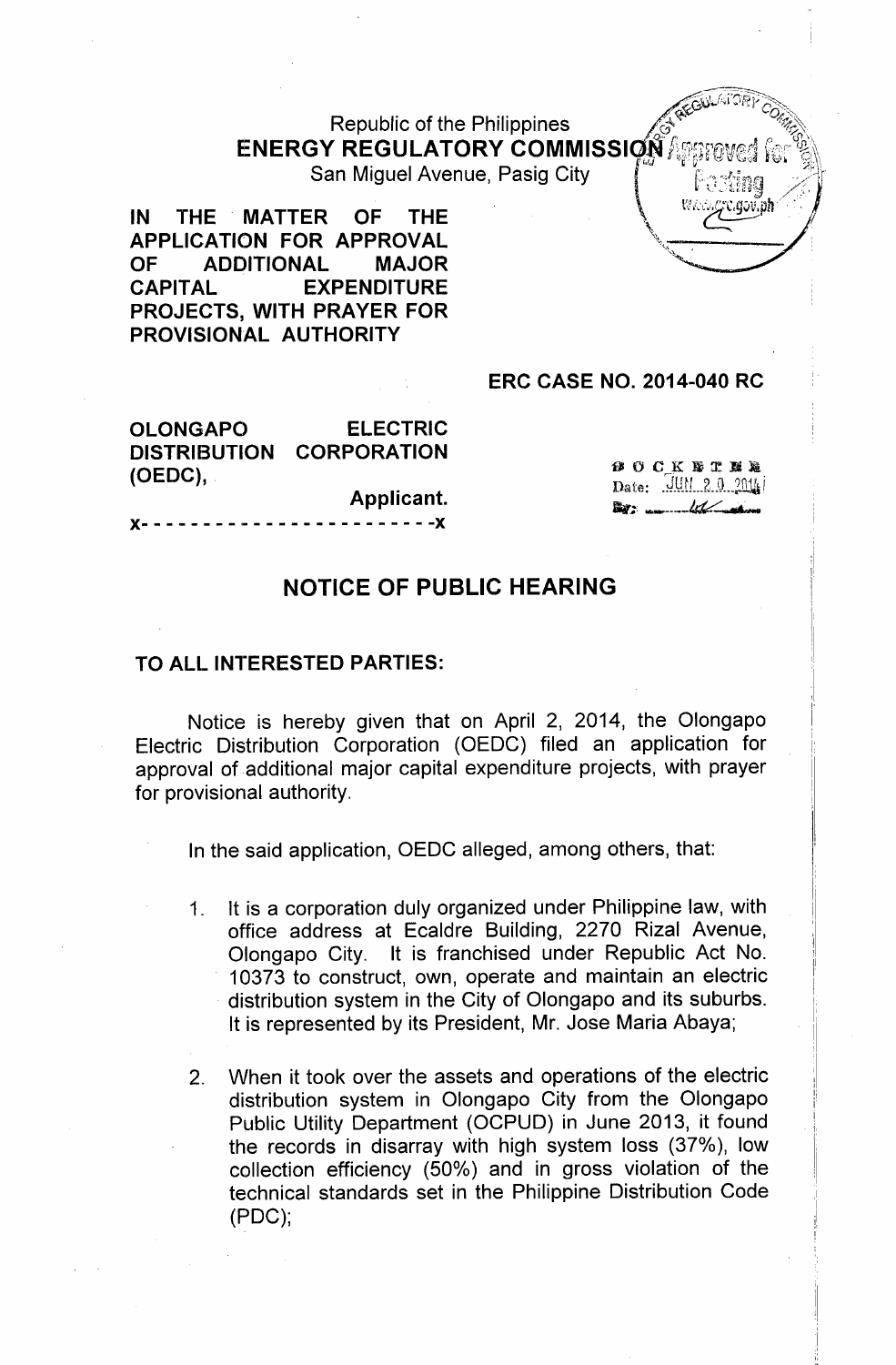Republic of the Philippines  $\bm{\mathsf{ENERGY\,REGULATORY\,COMMISSIQN} \, {\mathbb{Z}}$  . The  $\bm{\mathcal{S}}$   $\parallel$ 

San Miguel Avenue, Pasig City.

IN THE MATTER OF THE  $\left\{ \right\}$  We are equilibrium APPLICATION FOR APPROVAL<br>OF ADDITIONAL MAJOR ADDITIONAL CAPITAL EXPENDITURE PROJECTS, WITH PRAYER FOR PROVISIONAL AUTHORITY

## ERC CASE NO. 2014-040 RC

OLONGAPO ELECTRIC DISTRIBUTION CORPORATION (OEDC),

Applicant.

}{- - - - - - - - - - - - - - - - - - - - - - - -}{

**BOCKSTM&** Date: .'J.V.N... 2..o... ~ i  $\mathbb{E}$ 

,

~'''l "rt1;~'~ /" ..

## NOTICE OF PUBLIC HEARING

## TO ALL INTERESTED PARTIES:

Notice is hereby given that on April 2, 2014, the Olongapo Electric Distribution Corporation (OEDC) filed an application for approval of additional major capital expenditure projects, with prayer for provisional authority.

In the said application, OEDC alleged, among others, that:

- 1. It is a corporation duly organized under Philippine law, with office address at Ecaldre Building, 2270 Rizal Avenue, Olongapo City. It is franchised under Republic Act No. 10373 to construct, own, operate and maintain an electric distribution system in the City of Olongapo and its suburbs. It is represented by its President, Mr. Jose Maria Abaya;
- 2. When it took over the assets and operations of the electric distribution system in Olongapo City from the Olongapo Public Utility Department (OCPUD) in June 2013, it found the records in disarray with high system loss (37%), low collection efficiency (50%) and in gross violation of the technical standards set in the Philippine Distribution Code (PDC);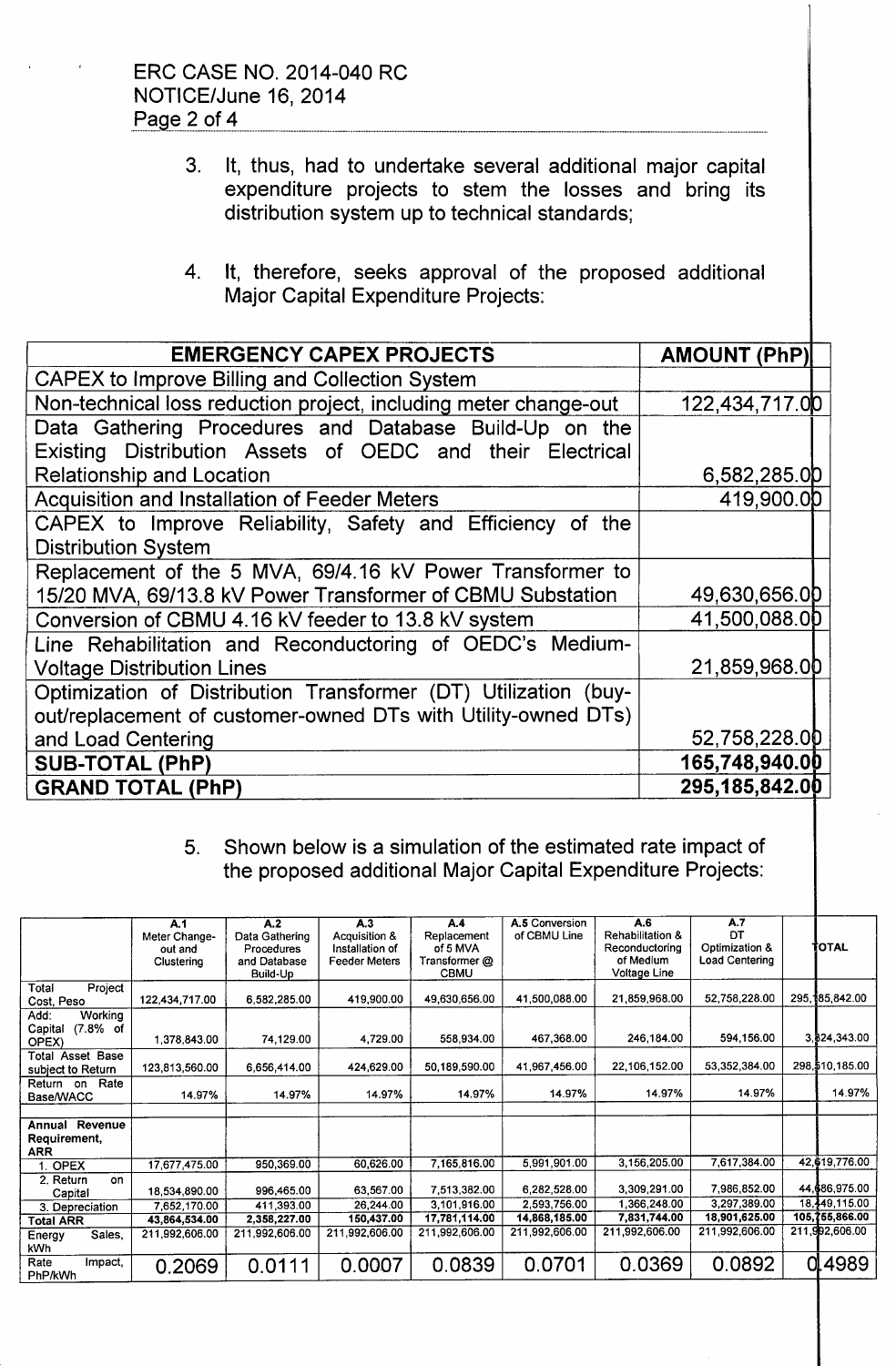,

- 3. It, thus, had to undertake several additional major capital expenditure projects to stem the losses and bring its distribution system up to technical standards;
- 4. It, therefore, seeks approval of the proposed additional Major Capital Expenditure Projects:

| <b>EMERGENCY CAPEX PROJECTS</b>                                  | <b>AMOUNT (PhP)</b> |  |  |  |
|------------------------------------------------------------------|---------------------|--|--|--|
| CAPEX to Improve Billing and Collection System                   |                     |  |  |  |
| Non-technical loss reduction project, including meter change-out | 122,434,717.00      |  |  |  |
| Data Gathering Procedures and Database Build-Up on the           |                     |  |  |  |
| Existing Distribution Assets of OEDC and their Electrical        |                     |  |  |  |
| Relationship and Location                                        | 6,582,285.0D        |  |  |  |
| <b>Acquisition and Installation of Feeder Meters</b>             | 419,900.0D          |  |  |  |
| CAPEX to Improve Reliability, Safety and Efficiency of the       |                     |  |  |  |
| <b>Distribution System</b>                                       |                     |  |  |  |
| Replacement of the 5 MVA, 69/4.16 kV Power Transformer to        |                     |  |  |  |
| 15/20 MVA, 69/13.8 kV Power Transformer of CBMU Substation       | 49,630,656.0D       |  |  |  |
| Conversion of CBMU 4.16 kV feeder to 13.8 kV system              | 41,500,088.0D       |  |  |  |
| Line Rehabilitation and Reconductoring of OEDC's Medium-         |                     |  |  |  |
| <b>Voltage Distribution Lines</b>                                | 21,859,968.00       |  |  |  |
| Optimization of Distribution Transformer (DT) Utilization (buy-  |                     |  |  |  |
| out/replacement of customer-owned DTs with Utility-owned DTs)    |                     |  |  |  |
| and Load Centering                                               | 52,758,228.00       |  |  |  |
| <b>SUB-TOTAL (PhP)</b>                                           | 165,748,940.00      |  |  |  |
| <b>GRAND TOTAL (PhP)</b>                                         | 295,185,842.00      |  |  |  |

## 5. Shown below is a simulation of the estimated rate impact of the proposed additional Major Capital Expenditure Projects:

|                                                        | A.1<br>Meter Change-<br>out and<br>Clustering | A.2<br>Data Gathering<br>Procedures<br>and Database<br>Build-Up | A.3<br>Acquisition &<br>Installation of<br><b>Feeder Meters</b> | A.4<br>Replacement<br>of 5 MVA<br>Transformer @<br><b>CBMU</b> | A.5 Conversion<br>of CBMU Line | A.6<br>Rehabilitation &<br>Reconductoring<br>of Medium<br>Voltage Line | A.7<br>DТ<br>Optimization &<br>Load Centering | TOTAL             |
|--------------------------------------------------------|-----------------------------------------------|-----------------------------------------------------------------|-----------------------------------------------------------------|----------------------------------------------------------------|--------------------------------|------------------------------------------------------------------------|-----------------------------------------------|-------------------|
| Project<br>Total<br>Cost, Peso                         | 122.434,717.00                                | 6,582,285.00                                                    | 419,900.00                                                      | 49,630,656.00                                                  | 41,500,088.00                  | 21,859,968.00                                                          | 52,758,228.00                                 | 295,185,842.00    |
| <b>Working</b><br>Add:<br>(7.8% of<br>Capital<br>OPEX) | 1.378.843.00                                  | 74,129.00                                                       | 4,729.00                                                        | 558,934.00                                                     | 467,368.00                     | 246,184.00                                                             | 594,156.00                                    | 3 \$24,343.00     |
| Total Asset Base<br>subject to Return                  | 123,813,560.00                                | 6.656.414.00                                                    | 424 629.00                                                      | 50.189,590.00                                                  | 41,967,456.00                  | 22,106,152.00                                                          | 53,352,384.00                                 | 298, \$10, 185.00 |
| Rate<br>Return on<br>Base/WACC                         | 14.97%                                        | 14.97%                                                          | 14.97%                                                          | 14.97%                                                         | 14.97%                         | 14.97%                                                                 | 14.97%                                        | 14.97%            |
| Revenue<br>Annual<br>Requirement,<br><b>ARR</b>        |                                               |                                                                 |                                                                 |                                                                |                                |                                                                        |                                               |                   |
| 1. OPEX                                                | 17.677.475.00                                 | 950.369.00                                                      | 60.626.00                                                       | 7,165,816.00                                                   | 5,991,901.00                   | 3,156,205.00                                                           | 7.617.384.00                                  | 42,619,776.00     |
| 2. Return<br>on<br>Capital                             | 18.534.890.00                                 | 996,465.00                                                      | 63.567.00                                                       | 7.513.382.00                                                   | 6,282,528.00                   | 3,309,291.00                                                           | 7,986,852.00                                  | 44,686,975.00     |
| 3. Depreciation                                        | 7,652,170.00                                  | 411,393.00                                                      | 26.244.00                                                       | 3,101,916.00                                                   | 2.593.756.00                   | 1,366,248.00                                                           | 3,297,389.00                                  | 18,449,115.00     |
| <b>Total ARR</b>                                       | 43,864,534.00                                 | 2,358,227.00                                                    | 150,437.00                                                      | 17,781,114.00                                                  | 14,868,185.00                  | 7.831.744.00                                                           | 18,901,625.00                                 | 105,755,866.00    |
| Sales.<br>Energy<br><b>kWh</b>                         | 211,992,606.00                                | 211,992.606.00                                                  | 211 992,606.00                                                  | 211,992,606.00                                                 | 211,992,606.00                 | 211,992,606.00                                                         | 211,992,606.00                                | 211,992,606.00    |
| Rate<br>Impact,<br>PhP/kWh                             | 0.2069                                        | 0.0111                                                          | 0.0007                                                          | 0.0839                                                         | 0.0701                         | 0.0369                                                                 | 0.0892                                        | 0.4989            |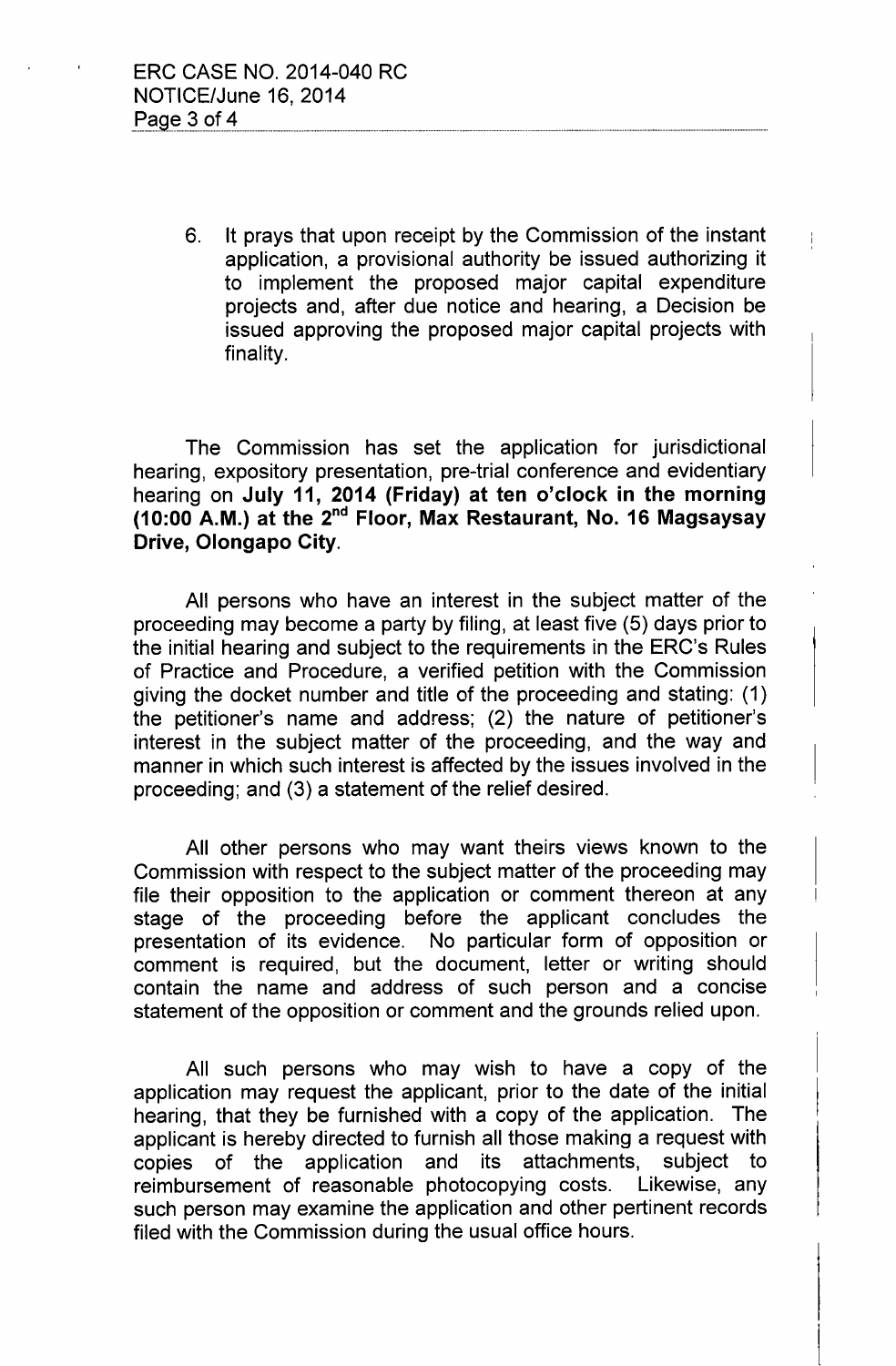6. It prays that upon receipt by the Commission of the instant application, a provisional authority be issued authorizing it to implement the proposed major capital expenditure projects and, after due notice and hearing, a Decision be issued approving the proposed major capital projects with finality.

 $\mathbf{I}$ 

The Commission has set the application for jurisdictional hearing, expository presentation, pre-trial conference and evidentiary hearing on July 11, 2014 (Friday) at ten o'clock in the morning (10:00 A.M.) at the 2<sup>nd</sup> Floor, Max Restaurant, No. 16 Magsaysay Drive, Olongapo City.

All persons who have an interest in the subject matter of the proceeding may become a party by filing, at least five (5) days prior to the initial hearing and subject to the requirements in the ERC's Rules of Practice and Procedure, a verified petition with the Commission giving the docket number and title of the proceeding and stating: (1) the petitioner's name and address; (2) the nature of petitioner's interest in the subject matter of the proceeding, and the way and manner in which such interest is affected by the issues involved in the proceeding; and (3) a statement of the relief desired.

All other persons who may want theirs views known to the Commission with respect to the subject matter of the proceeding may file their opposition to the application or comment thereon at any stage of the proceeding before the applicant concludes the presentation of its evidence. No particular form of opposition or comment is required, but the document, letter or writing should contain the name and address of such person and a concise statement of the opposition or comment and the grounds relied upon.

All such persons who may wish to have a copy of the application may request the applicant, prior to the date of the initial hearing, that they be furnished with a copy of the application. The applicant is hereby directed to furnish all those making a request with copies of the application and its attachments, subject to reimbursement of reasonable photocopying costs. Likewise, any such person may examine the application and other pertinent records filed with the Commission during the usual office hours.